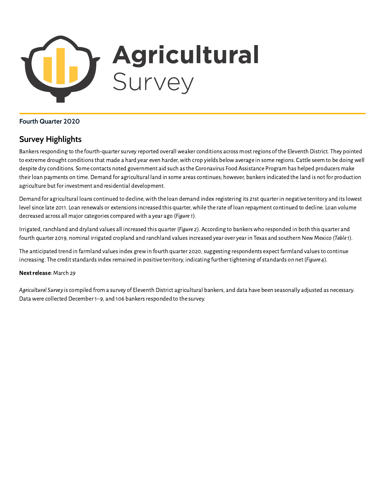

#### **Fourth Quarter 2020**

# **Survey Highlights**

Bankers responding to the fourth-quarter survey reported overall weaker conditions across most regions of the Eleventh District. They pointed to extreme drought conditions that made a hard year even harder, with crop yields below average in some regions. Cattle seem to be doing well despite dry conditions. Some contacts noted government aid such asthe Coronavirus Food Assistance Program has helped producers make their loan payments on time. Demand for agricultural land in some areascontinues; however, bankersindicated the land is not for production agriculture but for investment and residential development.

Demand for agricultural loans continued to decline, with the loan demand index registering its 21st quarter in negative territory and its lowest level since late 2011. Loan renewals or extensions increased this quarter, while the rate of loan repayment continued to decline. Loan volume decreased across all major categories compared with a year ago (Figure 1).

Irrigated, ranchland and dryland values all increased this quarter (Figure 2). According to bankers who responded in both this quarter and fourth quarter 2019, nominal irrigated cropland and ranchland values increased year over year in Texas and southern New Mexico (Table 1).

The anticipated trend in farmland values index grew in fourth quarter 2020, suggesting respondents expect farmland values to continue increasing. The credit standards index remained in positive territory, indicating further tightening of standards on net (Figure 4).

#### Next release: March 29

Agricultural Survey iscompiled from a survey of Eleventh District agricultural bankers, and data have been seasonally adjusted as necessary. Data were collected December 1–9, and 106 bankers responded to the survey.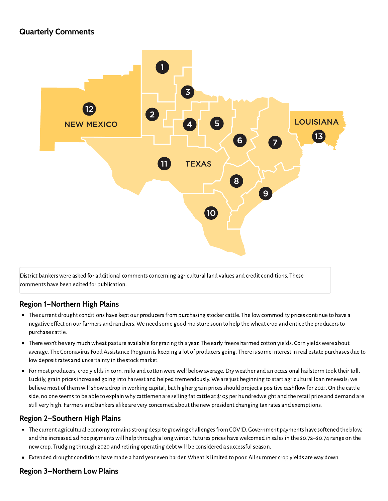# **Quarterly Comments**



District bankers were asked for additional comments concerning agricultural land values and credit conditions. These comments have been edited for publication.

### **Region 1—Northern High Plains**

- The current drought conditions have kept our producers from purchasing stocker cattle. The low commodity prices continue to have a negative effect on our farmers and ranchers. We need some good moisture soon to help the wheat crop and entice the producers to purchase cattle.
- There won't be very much wheat pasture available for grazing this year. The early freeze harmed cotton yields. Corn yields were about  $\blacksquare$ average. The Coronavirus Food Assistance Program is keeping a lot of producers going. There issome interest in real estate purchases due to lowdeposit rates and uncertainty in the stock market.
- For most producers, crop yields in corn, milo and cotton were well below average. Dry weather and an occasional hailstorm took their toll.  $\blacksquare$ Luckily, grain prices increased going into harvest and helped tremendously. We are just beginning to start agricultural loan renewals; we believe most of them will show a drop in working capital, but higher grain prices should project a positive cashflow for 2021. On the cattle side, no one seems to be able to explain why cattlemen are selling fat cattle at \$105 per hundredweight and the retail price and demand are still very high. Farmers and bankers alike are very concerned about the new president changing tax rates and exemptions.

### **Region 2—Southern High Plains**

- The current agricultural economy remainsstrong despite growing challengesfrom COVID. Government payments have sotened the blow, and the increased ad hoc payments will help through a long winter. Futures prices have welcomed in sales in the \$0.72–\$0.74 range on the new crop. Trudging through 2020 and retiring operating debt will be considered a successful season.
- Extended drought conditions have made a hard year even harder. Wheat is limited to poor. All summer crop yields are way down.

### **Region 3—Northern Low Plains**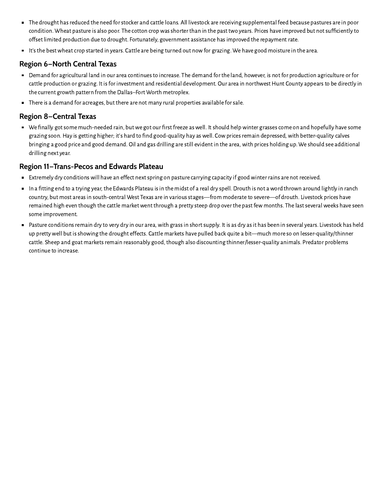- The drought hasreduced the need forstocker and cattle loans. All livestock are receiving supplemental feed because pastures are in poor condition. Wheat pasture is also poor. The cotton crop was shorter than in the past two years. Prices have improved but not sufficiently to ofset limited production due to drought. Fortunately, government assistance hasimproved the repayment rate.
- It's the best wheat crop started in years. Cattle are being turned out now for grazing. We have good moisture in the area.

### **Region 6—North Central Texas**

- Demand for agricultural land in our area continuesto increase. The demand for the land, however, is not for production agriculture or for cattle production or grazing. It is for investment and residential development. Our area in northwest Hunt County appears to be directly in **gion 6–North Central Texas**<br>Demand for agricultural land in our area continues to increase. The<br>cattle production or grazing. It is for investment and residential dev<br>the current growth pattern from the Dallas–Fort Worth
- There is a demand for acreages, but there are not many rural properties available for sale.

### **Region 8—Central Texas**

We finally gotsome much-needed rain, butwe got our first freeze aswell. Itshould helpwinter grassescome on and hopefully have some grazing soon.Hay is getting higher; it's hard to find good-quality hay aswell. Cowpricesremain depressed,with better-quality calves bringing a good price and good demand. Oil and gas drilling are still evident in the area, with prices holding up. We should see additional drilling next year.

#### **Region 11—Trans-Pecos and Edwards Plateau**

- Extremely dry conditions will have an effect next spring on pasture carrying capacity if good winter rains are not received.
- $\blacksquare$  In a fitting end to a trying year, the Edwards Plateau is in the midst of a real dry spell. Drouth is not a word thrown around lightly in ranch gi**on 11–11ans–Fecos and Luwanus Flateau**<br>Extremely dry conditions will have an effect next spring on pasture carrying capacity if good winter rains are not received.<br>In a fitting end to a trying year, the Edwards Plateau remained high even though the cattle market went through a pretty steep drop over the past few months. The last several weeks have seen some improvement.
- Pasture conditions remain dry to very dry in our area, with grass in short supply. It is as dry as it has been in several years. Livestock has held remained high even though the cattle market went through a pretty steep drop over the past few months. The last several weeks have s<br>some improvement.<br>Pasture conditions remain dry to very dry in our area, with grass in sh cattle. Sheep and goat markets remain reasonably good, though also discounting thinner/lesser-quality animals. Predator problems continue to increase.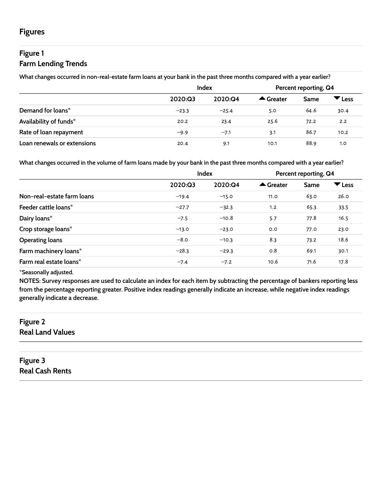# **Figure 1 Farm Lending Trends**

What changes occurred in non-real-estate farm loans at your bank in the past three months compared with a year earlier?

|                             |         | <b>Index</b> |                     | Percent reporting, Q4 |                           |  |
|-----------------------------|---------|--------------|---------------------|-----------------------|---------------------------|--|
|                             | 2020:Q3 | 2020:Q4      | $\triangle$ Greater | Same                  | $\blacktriangledown$ Less |  |
| Demand for loans*           | $-23.3$ | $-25.4$      | 5.0                 | 64.6                  | 30.4                      |  |
| Availability of funds*      | 20.2    | 23.4         | 25.6                | 72.2                  | 2.2                       |  |
| Rate of loan repayment      | $-9.9$  | $-7.1$       | 3.1                 | 86.7                  | 10.2                      |  |
| Loan renewals or extensions | 20.4    | 9.1          | 10.1                | 88.9                  | 1.0                       |  |

What changes occurred in the volume of farm loans made by your bank in the past three months compared with a year earlier?

|                            | <b>Index</b> |         | Percent reporting, Q4 |      |                           |
|----------------------------|--------------|---------|-----------------------|------|---------------------------|
|                            | 2020:Q3      | 2020:Q4 | ▲ Greater             | Same | $\blacktriangledown$ Less |
| Non-real-estate farm loans | $-19.4$      | $-15.0$ | 11.0                  | 63.0 | 26.0                      |
| Feeder cattle loans*       | $-27.7$      | $-32.3$ | 1.2                   | 65.3 | 33.5                      |
| Dairy loans*               | $-7.5$       | $-10.8$ | 5.7                   | 77.8 | 16.5                      |
| Crop storage loans*        | $-13.0$      | $-23.0$ | O.O                   | 77.0 | 23.0                      |
| <b>Operating loans</b>     | $-8.0$       | $-10.3$ | 8.3                   | 73.2 | 18.6                      |
| Farm machinery loans*      | $-28.3$      | $-29.3$ | 0.8                   | 69.1 | 30.1                      |
| Farm real estate loans*    | $-7.4$       | $-7.2$  | 10.6                  | 71.6 | 17.8                      |
|                            |              |         |                       |      |                           |

**\*Seasonally adjusted.**

NOTES: Survey responses are used to calculate an index for each item by subtracting the percentage of bankers reporting less from the percentage reporting greater. Positive index readings generally indicate an increase, while negative index readings **generally indicate a decrease.**

# **Figure 2 Real Land Values**

**Figure 3 Real Cash Rents**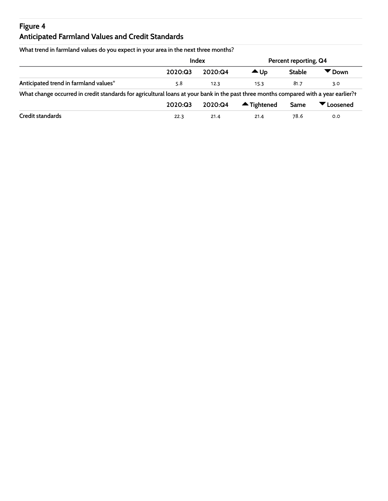# **Figure 4 Anticipated Farmland Values and Credit Standards**

| What trend in farmland values do you expect in your area in the next three months?                                                   |         |         |                       |                       |                               |  |
|--------------------------------------------------------------------------------------------------------------------------------------|---------|---------|-----------------------|-----------------------|-------------------------------|--|
|                                                                                                                                      |         | Index   |                       | Percent reporting, Q4 |                               |  |
|                                                                                                                                      | 2020:Q3 | 2020:Q4 | $\triangle$ Up        | <b>Stable</b>         | $\blacktriangledown$ Down     |  |
| Anticipated trend in farmland values*                                                                                                | 5.8     | 12.3    | 15.3                  | 81.7                  | 3.0                           |  |
| What change occurred in credit standards for agricultural loans at your bank in the past three months compared with a year earlier?+ |         |         |                       |                       |                               |  |
|                                                                                                                                      | 2020:Q3 | 2020:Q4 | $\triangle$ Tightened | Same                  | $\blacktriangledown$ Loosened |  |
| Credit standards                                                                                                                     | 22.3    | 21.4    | 21.4                  | 78.6                  | 0.0                           |  |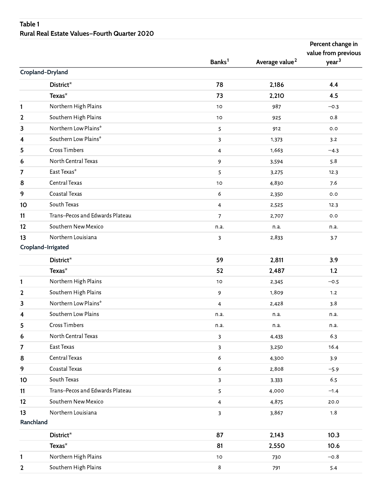### **Table 1 Rural Real Estate Values—Fourth Quarter 2020**

|              |                                 | Banks <sup>1</sup> | Average value <sup>2</sup> | Percent change in<br>value from previous<br>year <sup>3</sup> |
|--------------|---------------------------------|--------------------|----------------------------|---------------------------------------------------------------|
|              | Cropland-Dryland                |                    |                            |                                                               |
|              | District*                       | 78                 | 2,186                      | 4.4                                                           |
|              | Texas*                          | 73                 | 2,210                      | 4.5                                                           |
| 1            | Northern High Plains            | 10                 | 987                        | $-0.3$                                                        |
| $\mathbf{2}$ | Southern High Plains            | 10                 | 925                        | 0.8                                                           |
| 3            | Northern Low Plains*            | 5                  | 912                        | 0.0                                                           |
| 4            | Southern Low Plains*            | 3                  | 1,373                      | 3.2                                                           |
| 5            | <b>Cross Timbers</b>            | 4                  | 1,663                      | $-4.3$                                                        |
| 6            | North Central Texas             | 9                  | 3,594                      | 5.8                                                           |
| 7            | East Texas*                     | 5                  | 3,275                      | 12.3                                                          |
| 8            | Central Texas                   | 10                 | 4,830                      | 7.6                                                           |
| 9            | Coastal Texas                   | 6                  | 2,350                      | O.O                                                           |
| 10           | South Texas                     | 4                  | 2,525                      | 12.3                                                          |
| 11           | Trans-Pecos and Edwards Plateau | $\overline{7}$     | 2,707                      | 0.0                                                           |
| 12           | Southern New Mexico             | n.a.               | n.a.                       | n.a.                                                          |
| 13           | Northern Louisiana              | 3                  | 2,833                      | 3.7                                                           |
|              | Cropland-Irrigated              |                    |                            |                                                               |
|              | District*                       | 59                 | 2,811                      | 3.9                                                           |
|              | Texas*                          | 52                 | 2,487                      | 1.2                                                           |
| 1            | Northern High Plains            | 10                 | 2,345                      | $-0.5$                                                        |
| $\mathbf{2}$ | Southern High Plains            | 9                  | 1,809                      | 1.2                                                           |
| 3            | Northern Low Plains*            | 4                  | 2,428                      | 3.8                                                           |
| 4            | Southern Low Plains             | n.a.               | n.a.                       | n.a.                                                          |
| 5            | Cross Timbers                   | n.a.               | n.a.                       | n.a.                                                          |
| 6            | North Central Texas             | 3                  | 4,433                      | 6.3                                                           |
| 7            | East Texas                      | 3                  | 3,250                      | 16.4                                                          |
| 8            | Central Texas                   | 6                  | 4,300                      | 3.9                                                           |
| 9            | Coastal Texas                   | 6                  | 2,808                      | $-5.9$                                                        |
| 10           | South Texas                     | 3                  | 3,333                      | 6.5                                                           |
| 11           | Trans-Pecos and Edwards Plateau | 5                  | 4,000                      | $-1.4$                                                        |
| 12           | Southern New Mexico             | 4                  | 4,875                      | 20.0                                                          |
| 13           | Northern Louisiana              | 3                  | 3,867                      | 1.8                                                           |
| Ranchland    |                                 |                    |                            |                                                               |
|              | District*                       | 87                 | 2,143                      | 10.3                                                          |
|              | Texas*                          | 81                 | 2,550                      | 10.6                                                          |
| 1            | Northern High Plains            | 10                 | 730                        | $-0.8$                                                        |
| $\mathbf{2}$ | Southern High Plains            | $\,8\,$            | 791                        | 5.4                                                           |